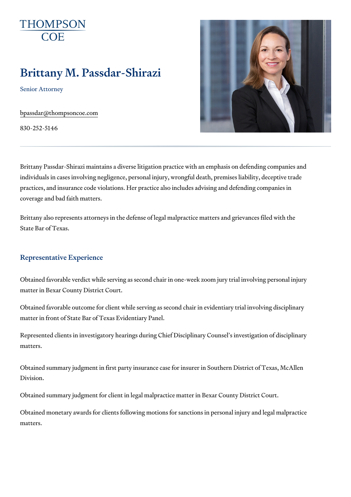# Brittany M. Passdar-Shirazi

Senior Attorney

[bpassdar@thomps](mailto:bpassdar@thompsoncoe.com)oncoe.com

830-252-5146

Brittany Passdar-Shirazi maintains a diverse litigation practice with an em individuals in cases involving negligence, personal injury, wrongful death, practices, and insurance code violations. Her practice also includes advisi coverage and bad faith matters.

Brittany also represents attorneys in the defense of legal malpractice matt State Bar of Texas.

#### Representative Experience

Obtained favorable verdict while serving as second chair in one-week zoon matter in Bexar County District Court.

Obtained favorable outcome for client while serving as second chair in evi matter in front of State Bar of Texas Evidentiary Panel.

Represented clients in investigatory hearings during Chief Disciplinary Co matters.

Obtained summary judgment in first party insurance case for insurer in Southern District of Texas, McAllen of Te Division.

Obtained summary judgment for client in legal malpractice matter in Bexar

Obtained monetary awards for clients following motions for sanctions in pe matters.